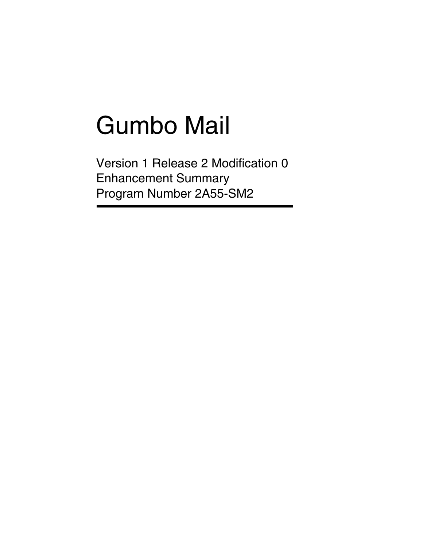# Gumbo Mail

Version 1 Release 2 Modification 0 Enhancement Summary Program Number 2A55-SM2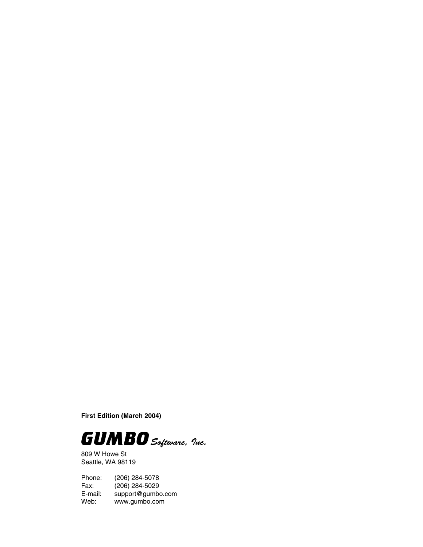**First Edition (March 2004)**



809 W Howe St Seattle, WA 98119

Phone: (206) 284-5078 Fax: (206) 284-5029<br>E-mail: support@gumb E-mail: support@gumbo.com<br>Web: www.gumbo.com www.gumbo.com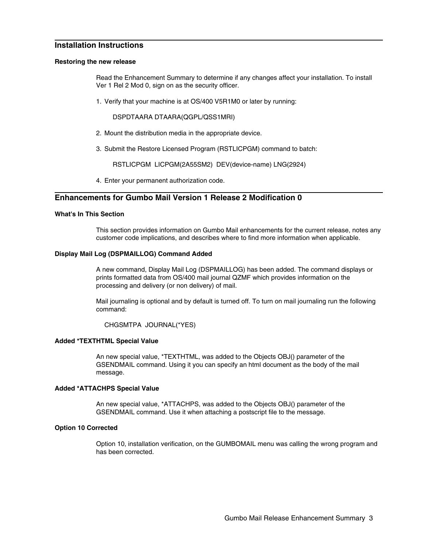# **Installation Instructions**

### **Restoring the new release**

Read the Enhancement Summary to determine if any changes affect your installation. To install Ver 1 Rel 2 Mod 0, sign on as the security officer.

1. Verify that your machine is at OS/400 V5R1M0 or later by running:

DSPDTAARA DTAARA(QGPL/QSS1MRI)

- 2. Mount the distribution media in the appropriate device.
- 3. Submit the Restore Licensed Program (RSTLICPGM) command to batch:

RSTLICPGM LICPGM(2A55SM2) DEV(device-name) LNG(2924)

4. Enter your permanent authorization code.

# **Enhancements for Gumbo Mail Version 1 Release 2 Modification 0**

# **What's In This Section**

This section provides information on Gumbo Mail enhancements for the current release, notes any customer code implications, and describes where to find more information when applicable.

### **Display Mail Log (DSPMAILLOG) Command Added**

A new command, Display Mail Log (DSPMAILLOG) has been added. The command displays or prints formatted data from OS/400 mail journal QZMF which provides information on the processing and delivery (or non delivery) of mail.

Mail journaling is optional and by default is turned off. To turn on mail journaling run the following command:

CHGSMTPA JOURNAL(\*YES)

# **Added \*TEXTHTML Special Value**

An new special value, \*TEXTHTML, was added to the Objects OBJ() parameter of the GSENDMAIL command. Using it you can specify an html document as the body of the mail message.

#### **Added \*ATTACHPS Special Value**

An new special value, \*ATTACHPS, was added to the Objects OBJ() parameter of the GSENDMAIL command. Use it when attaching a postscript file to the message.

#### **Option 10 Corrected**

Option 10, installation verification, on the GUMBOMAIL menu was calling the wrong program and has been corrected.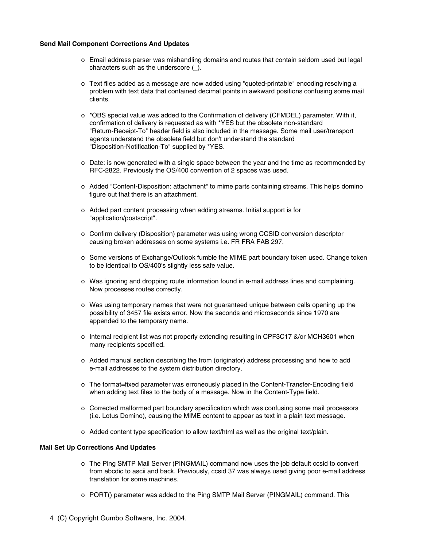# **Send Mail Component Corrections And Updates**

- o Email address parser was mishandling domains and routes that contain seldom used but legal characters such as the underscore (\_).
- o Text files added as a message are now added using "quoted-printable" encoding resolving a problem with text data that contained decimal points in awkward positions confusing some mail clients.
- o \*OBS special value was added to the Confirmation of delivery (CFMDEL) parameter. With it, confirmation of delivery is requested as with \*YES but the obsolete non-standard "Return-Receipt-To" header field is also included in the message. Some mail user/transport agents understand the obsolete field but don't understand the standard "Disposition-Notification-To" supplied by \*YES.
- o Date: is now generated with a single space between the year and the time as recommended by RFC-2822. Previously the OS/400 convention of 2 spaces was used.
- o Added "Content-Disposition: attachment" to mime parts containing streams. This helps domino figure out that there is an attachment.
- o Added part content processing when adding streams. Initial support is for "application/postscript".
- o Confirm delivery (Disposition) parameter was using wrong CCSID conversion descriptor causing broken addresses on some systems i.e. FR FRA FAB 297.
- o Some versions of Exchange/Outlook fumble the MIME part boundary token used. Change token to be identical to OS/400's slightly less safe value.
- o Was ignoring and dropping route information found in e-mail address lines and complaining. Now processes routes correctly.
- o Was using temporary names that were not guaranteed unique between calls opening up the possibility of 3457 file exists error. Now the seconds and microseconds since 1970 are appended to the temporary name.
- o Internal recipient list was not properly extending resulting in CPF3C17 &/or MCH3601 when many recipients specified.
- o Added manual section describing the from (originator) address processing and how to add e-mail addresses to the system distribution directory.
- o The format=fixed parameter was erroneously placed in the Content-Transfer-Encoding field when adding text files to the body of a message. Now in the Content-Type field.
- o Corrected malformed part boundary specification which was confusing some mail processors (i.e. Lotus Domino), causing the MIME content to appear as text in a plain text message.
- o Added content type specification to allow text/html as well as the original text/plain.

# **Mail Set Up Corrections And Updates**

- o The Ping SMTP Mail Server (PINGMAIL) command now uses the job default ccsid to convert from ebcdic to ascii and back. Previously, ccsid 37 was always used giving poor e-mail address translation for some machines.
- o PORT() parameter was added to the Ping SMTP Mail Server (PINGMAIL) command. This
- 4 (C) Copyright Gumbo Software, Inc. 2004.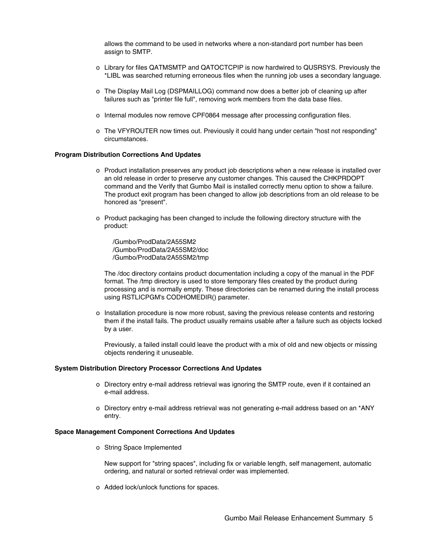allows the command to be used in networks where a non-standard port number has been assign to SMTP.

- o Library for files QATMSMTP and QATOCTCPIP is now hardwired to QUSRSYS. Previously the \*LIBL was searched returning erroneous files when the running job uses a secondary language.
- o The Display Mail Log (DSPMAILLOG) command now does a better job of cleaning up after failures such as "printer file full", removing work members from the data base files.
- o Internal modules now remove CPF0864 message after processing configuration files.
- o The VFYROUTER now times out. Previously it could hang under certain "host not responding" circumstances.

#### **Program Distribution Corrections And Updates**

- o Product installation preserves any product job descriptions when a new release is installed over an old release in order to preserve any customer changes. This caused the CHKPRDOPT command and the Verify that Gumbo Mail is installed correctly menu option to show a failure. The product exit program has been changed to allow job descriptions from an old release to be honored as "present".
- o Product packaging has been changed to include the following directory structure with the product:

/Gumbo/ProdData/2A55SM2 /Gumbo/ProdData/2A55SM2/doc /Gumbo/ProdData/2A55SM2/tmp

The /doc directory contains product documentation including a copy of the manual in the PDF format. The /tmp directory is used to store temporary files created by the product during processing and is normally empty. These directories can be renamed during the install process using RSTLICPGM's CODHOMEDIR() parameter.

o Installation procedure is now more robust, saving the previous release contents and restoring them if the install fails. The product usually remains usable after a failure such as objects locked by a user.

Previously, a failed install could leave the product with a mix of old and new objects or missing objects rendering it unuseable.

## **System Distribution Directory Processor Corrections And Updates**

- o Directory entry e-mail address retrieval was ignoring the SMTP route, even if it contained an e-mail address.
- o Directory entry e-mail address retrieval was not generating e-mail address based on an \*ANY entry.

#### **Space Management Component Corrections And Updates**

o String Space Implemented

New support for "string spaces", including fix or variable length, self management, automatic ordering, and natural or sorted retrieval order was implemented.

o Added lock/unlock functions for spaces.